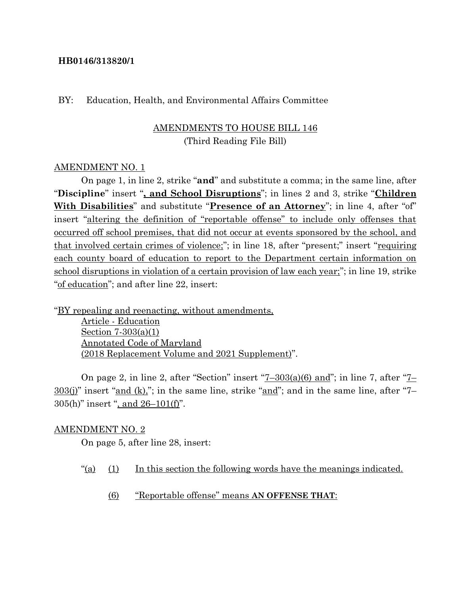#### **HB0146/313820/1**

#### BY: Education, Health, and Environmental Affairs Committee

## AMENDMENTS TO HOUSE BILL 146 (Third Reading File Bill)

#### AMENDMENT NO. 1

On page 1, in line 2, strike "**and**" and substitute a comma; in the same line, after "**Discipline**" insert "**, and School Disruptions**"; in lines 2 and 3, strike "**Children With Disabilities**" and substitute "**Presence of an Attorney**"; in line 4, after "of" insert "altering the definition of "reportable offense" to include only offenses that occurred off school premises, that did not occur at events sponsored by the school, and that involved certain crimes of violence;"; in line 18, after "present;" insert "requiring each county board of education to report to the Department certain information on school disruptions in violation of a certain provision of law each year;"; in line 19, strike "of education"; and after line 22, insert:

"BY repealing and reenacting, without amendments,

Article - Education Section 7-303(a)(1) Annotated Code of Maryland (2018 Replacement Volume and 2021 Supplement)".

On page 2, in line 2, after "Section" insert "7–303(a)(6) and"; in line 7, after "7– 303(j)" insert "and (k),"; in the same line, strike "and"; and in the same line, after "7– 305(h)" insert ", and 26–101(f)".

#### AMENDMENT NO. 2

On page 5, after line 28, insert:

- "(a) (1) In this section the following words have the meanings indicated.
	- (6) "Reportable offense" means **AN OFFENSE THAT**: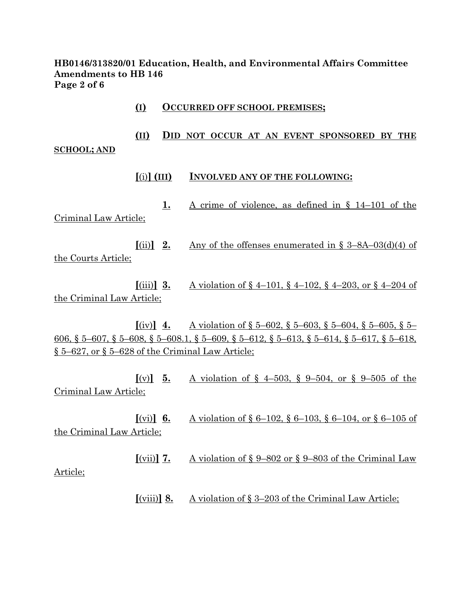**HB0146/313820/01 Education, Health, and Environmental Affairs Committee Amendments to HB 146 Page 2 of 6**

- **(I) OCCURRED OFF SCHOOL PREMISES; (II) DID NOT OCCUR AT AN EVENT SPONSORED BY THE SCHOOL; AND [**(i)**] (III) INVOLVED ANY OF THE FOLLOWING: 1.** A crime of violence, as defined in § 14–101 of the Criminal Law Article;  $\begin{bmatrix} \text{(ii)} \end{bmatrix}$  **2.** Any of the offenses enumerated in § 3–8A–03(d)(4) of the Courts Article; **[(iii)] <b>3.** A violation of  $\S$  4–101,  $\S$  4–102,  $\S$  4–203, or  $\S$  4–204 of the Criminal Law Article;  $[(iv)]$  **4.** A violation of § 5–602, § 5–603, § 5–604, § 5–605, § 5– 606, § 5–607, § 5–608, § 5–608.1, § 5–609, § 5–612, § 5–613, § 5–614, § 5–617, § 5–618, § 5–627, or § 5–628 of the Criminal Law Article;  $[(v)]$  **5.** A violation of § 4–503, § 9–504, or § 9–505 of the Criminal Law Article; **[(vi)] 6.** A violation of  $\S 6{\text -}102$ ,  $\S 6{\text -}103$ ,  $\S 6{\text -}104$ , or  $\S 6{\text -}105$  of the Criminal Law Article;  $[(\text{vii})]$  **7.** A violation of § 9–802 or § 9–803 of the Criminal Law Article;
	- **[**(viii)**] 8.** A violation of § 3–203 of the Criminal Law Article;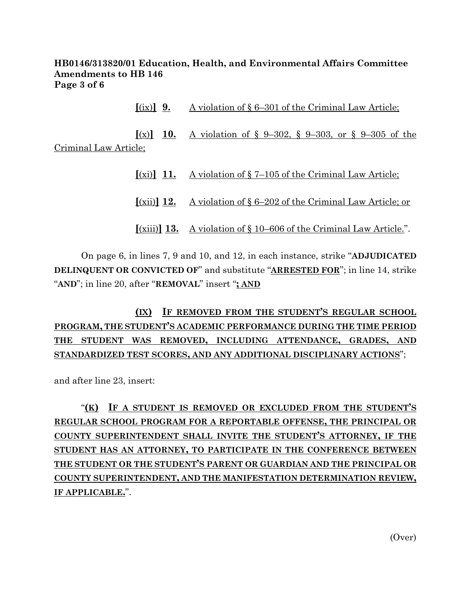## **HB0146/313820/01 Education, Health, and Environmental Affairs Committee Amendments to HB 146 Page 3 of 6**

**[**(ix)**] 9.** A violation of § 6–301 of the Criminal Law Article;

 $[(x)]$  **10.** A violation of § 9–302, § 9–303, or § 9–305 of the Criminal Law Article;

> **[**(xi)**] 11.** A violation of § 7–105 of the Criminal Law Article; **[**(xii)**] 12.** A violation of § 6–202 of the Criminal Law Article; or

> **[**(xiii)**] 13.** A violation of § 10–606 of the Criminal Law Article.".

On page 6, in lines 7, 9 and 10, and 12, in each instance, strike "**ADJUDICATED DELINQUENT OR CONVICTED OF**" and substitute "**ARRESTED FOR**"; in line 14, strike "**AND**"; in line 20, after "**REMOVAL**" insert "**; AND**

**(IX) IF REMOVED FROM THE STUDENT'S REGULAR SCHOOL PROGRAM, THE STUDENT'S ACADEMIC PERFORMANCE DURING THE TIME PERIOD THE STUDENT WAS REMOVED, INCLUDING ATTENDANCE, GRADES, AND STANDARDIZED TEST SCORES, AND ANY ADDITIONAL DISCIPLINARY ACTIONS**";

and after line 23, insert:

"**(K) IF A STUDENT IS REMOVED OR EXCLUDED FROM THE STUDENT'S REGULAR SCHOOL PROGRAM FOR A REPORTABLE OFFENSE, THE PRINCIPAL OR COUNTY SUPERINTENDENT SHALL INVITE THE STUDENT'S ATTORNEY, IF THE STUDENT HAS AN ATTORNEY, TO PARTICIPATE IN THE CONFERENCE BETWEEN THE STUDENT OR THE STUDENT'S PARENT OR GUARDIAN AND THE PRINCIPAL OR COUNTY SUPERINTENDENT, AND THE MANIFESTATION DETERMINATION REVIEW, IF APPLICABLE.**".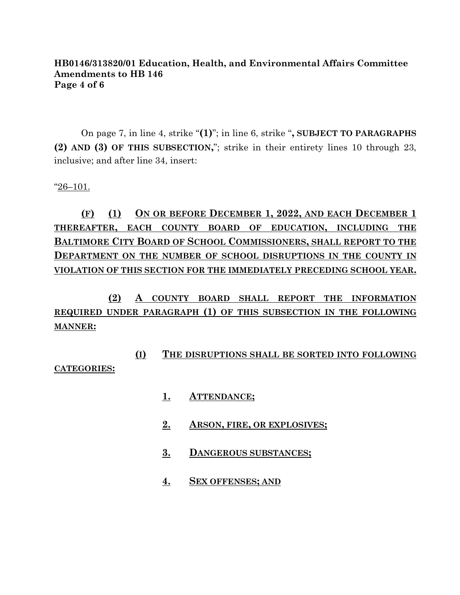### **HB0146/313820/01 Education, Health, and Environmental Affairs Committee Amendments to HB 146 Page 4 of 6**

On page 7, in line 4, strike "**(1)**"; in line 6, strike "**, SUBJECT TO PARAGRAPHS (2) AND (3) OF THIS SUBSECTION,**"; strike in their entirety lines 10 through 23, inclusive; and after line 34, insert:

 $"26-101.$ 

# **(F) (1) ON OR BEFORE DECEMBER 1, 2022, AND EACH DECEMBER 1 THEREAFTER, EACH COUNTY BOARD OF EDUCATION, INCLUDING THE BALTIMORE CITY BOARD OF SCHOOL COMMISSIONERS, SHALL REPORT TO THE DEPARTMENT ON THE NUMBER OF SCHOOL DISRUPTIONS IN THE COUNTY IN VIOLATION OF THIS SECTION FOR THE IMMEDIATELY PRECEDING SCHOOL YEAR.**

**(2) A COUNTY BOARD SHALL REPORT THE INFORMATION REQUIRED UNDER PARAGRAPH (1) OF THIS SUBSECTION IN THE FOLLOWING MANNER:**

## **(I) THE DISRUPTIONS SHALL BE SORTED INTO FOLLOWING CATEGORIES:**

- **1. ATTENDANCE;**
- **2. ARSON, FIRE, OR EXPLOSIVES;**
- **3. DANGEROUS SUBSTANCES;**
- **4. SEX OFFENSES; AND**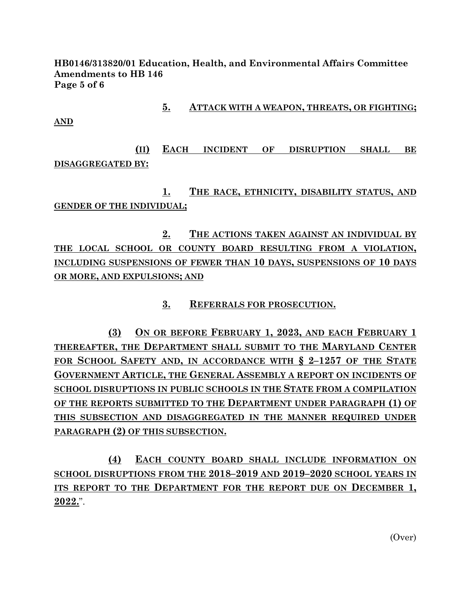**HB0146/313820/01 Education, Health, and Environmental Affairs Committee Amendments to HB 146 Page 5 of 6**

**5. ATTACK WITH A WEAPON, THREATS, OR FIGHTING;**

**AND**

**(II) EACH INCIDENT OF DISRUPTION SHALL BE DISAGGREGATED BY:**

**1. THE RACE, ETHNICITY, DISABILITY STATUS, AND GENDER OF THE INDIVIDUAL;**

**2. THE ACTIONS TAKEN AGAINST AN INDIVIDUAL BY THE LOCAL SCHOOL OR COUNTY BOARD RESULTING FROM A VIOLATION, INCLUDING SUSPENSIONS OF FEWER THAN 10 DAYS, SUSPENSIONS OF 10 DAYS OR MORE, AND EXPULSIONS; AND**

**3. REFERRALS FOR PROSECUTION.**

**(3) ON OR BEFORE FEBRUARY 1, 2023, AND EACH FEBRUARY 1 THEREAFTER, THE DEPARTMENT SHALL SUBMIT TO THE MARYLAND CENTER FOR SCHOOL SAFETY AND, IN ACCORDANCE WITH § 2–1257 OF THE STATE GOVERNMENT ARTICLE, THE GENERAL ASSEMBLY A REPORT ON INCIDENTS OF SCHOOL DISRUPTIONS IN PUBLIC SCHOOLS IN THE STATE FROM A COMPILATION OF THE REPORTS SUBMITTED TO THE DEPARTMENT UNDER PARAGRAPH (1) OF THIS SUBSECTION AND DISAGGREGATED IN THE MANNER REQUIRED UNDER PARAGRAPH (2) OF THIS SUBSECTION.**

**(4) EACH COUNTY BOARD SHALL INCLUDE INFORMATION ON SCHOOL DISRUPTIONS FROM THE 2018–2019 AND 2019–2020 SCHOOL YEARS IN ITS REPORT TO THE DEPARTMENT FOR THE REPORT DUE ON DECEMBER 1, 2022.**".

(Over)